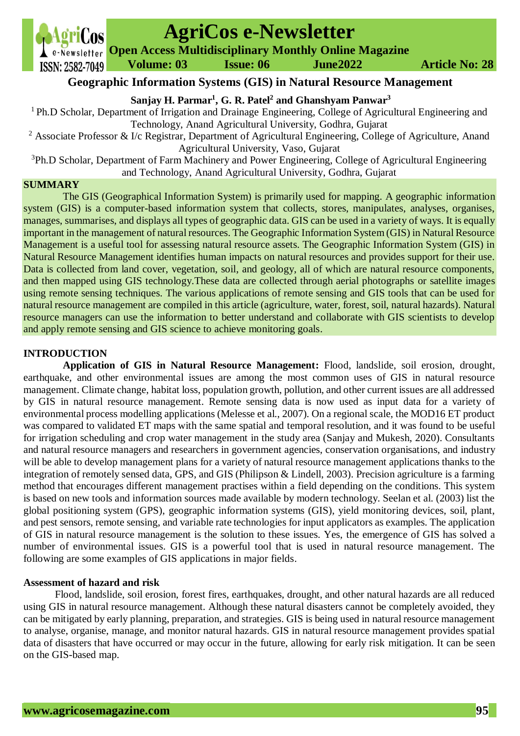**Volume: 03 Issue: 06 June2022 Article No: 28**

# **AgriCos e-Newsletter**

**Open Access Multidisciplinary Monthly Online Magazine**

# **Geographic Information Systems (GIS) in Natural Resource Management**

**Sanjay H. Parmar<sup>1</sup> , G. R. Patel<sup>2</sup> and Ghanshyam Panwar<sup>3</sup>**

<sup>1</sup> Ph.D Scholar, Department of Irrigation and Drainage Engineering, College of Agricultural Engineering and Technology, Anand Agricultural University, Godhra, Gujarat

<sup>2</sup> Associate Professor & I/c Registrar, Department of Agricultural Engineering, College of Agriculture, Anand Agricultural University, Vaso, Gujarat

<sup>3</sup>Ph.D Scholar, Department of Farm Machinery and Power Engineering, College of Agricultural Engineering and Technology, Anand Agricultural University, Godhra, Gujarat

### **SUMMARY**

The GIS (Geographical Information System) is primarily used for mapping. A geographic information system (GIS) is a computer-based information system that collects, stores, manipulates, analyses, organises, manages, summarises, and displays all types of geographic data. GIS can be used in a variety of ways. It is equally important in the management of natural resources. The Geographic Information System (GIS) in Natural Resource Management is a useful tool for assessing natural resource assets. The Geographic Information System (GIS) in Natural Resource Management identifies human impacts on natural resources and provides support for their use. Data is collected from land cover, vegetation, soil, and geology, all of which are natural resource components, and then mapped using GIS technology.These data are collected through aerial photographs or satellite images using remote sensing techniques. The various applications of remote sensing and GIS tools that can be used for natural resource management are compiled in this article (agriculture, water, forest, soil, natural hazards). Natural resource managers can use the information to better understand and collaborate with GIS scientists to develop and apply remote sensing and GIS science to achieve monitoring goals.

# **INTRODUCTION**

**Application of GIS in Natural Resource Management:** Flood, landslide, soil erosion, drought, earthquake, and other environmental issues are among the most common uses of GIS in natural resource management. Climate change, habitat loss, population growth, pollution, and other current issues are all addressed by GIS in natural resource management. Remote sensing data is now used as input data for a variety of environmental process modelling applications (Melesse et al., 2007). On a regional scale, the MOD16 ET product was compared to validated ET maps with the same spatial and temporal resolution, and it was found to be useful for irrigation scheduling and crop water management in the study area (Sanjay and Mukesh, 2020). Consultants and natural resource managers and researchers in government agencies, conservation organisations, and industry will be able to develop management plans for a variety of natural resource management applications thanks to the integration of remotely sensed data, GPS, and GIS (Philipson & Lindell, 2003). Precision agriculture is a farming method that encourages different management practises within a field depending on the conditions. This system is based on new tools and information sources made available by modern technology. Seelan et al. (2003) list the global positioning system (GPS), geographic information systems (GIS), yield monitoring devices, soil, plant, and pest sensors, remote sensing, and variable rate technologies for input applicators as examples. The application of GIS in natural resource management is the solution to these issues. Yes, the emergence of GIS has solved a number of environmental issues. GIS is a powerful tool that is used in natural resource management. The following are some examples of GIS applications in major fields.

# **Assessment of hazard and risk**

Flood, landslide, soil erosion, forest fires, earthquakes, drought, and other natural hazards are all reduced using GIS in natural resource management. Although these natural disasters cannot be completely avoided, they can be mitigated by early planning, preparation, and strategies. GIS is being used in natural resource management to analyse, organise, manage, and monitor natural hazards. GIS in natural resource management provides spatial data of disasters that have occurred or may occur in the future, allowing for early risk mitigation. It can be seen on the GIS-based map.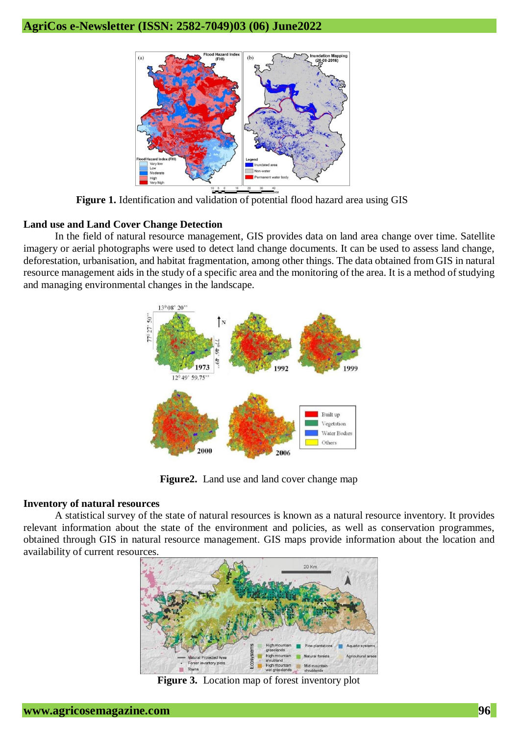

**Figure 1.** Identification and validation of potential flood hazard area using GIS

# **Land use and Land Cover Change Detection**

In the field of natural resource management, GIS provides data on land area change over time. Satellite imagery or aerial photographs were used to detect land change documents. It can be used to assess land change, deforestation, urbanisation, and habitat fragmentation, among other things. The data obtained from GIS in natural resource management aids in the study of a specific area and the monitoring of the area. It is a method of studying and managing environmental changes in the landscape.



**Figure2.** Land use and land cover change map

#### **Inventory of natural resources**

A statistical survey of the state of natural resources is known as a natural resource inventory. It provides relevant information about the state of the environment and policies, as well as conservation programmes, obtained through GIS in natural resource management. GIS maps provide information about the location and availability of current resources.



**Figure 3.** Location map of forest inventory plot